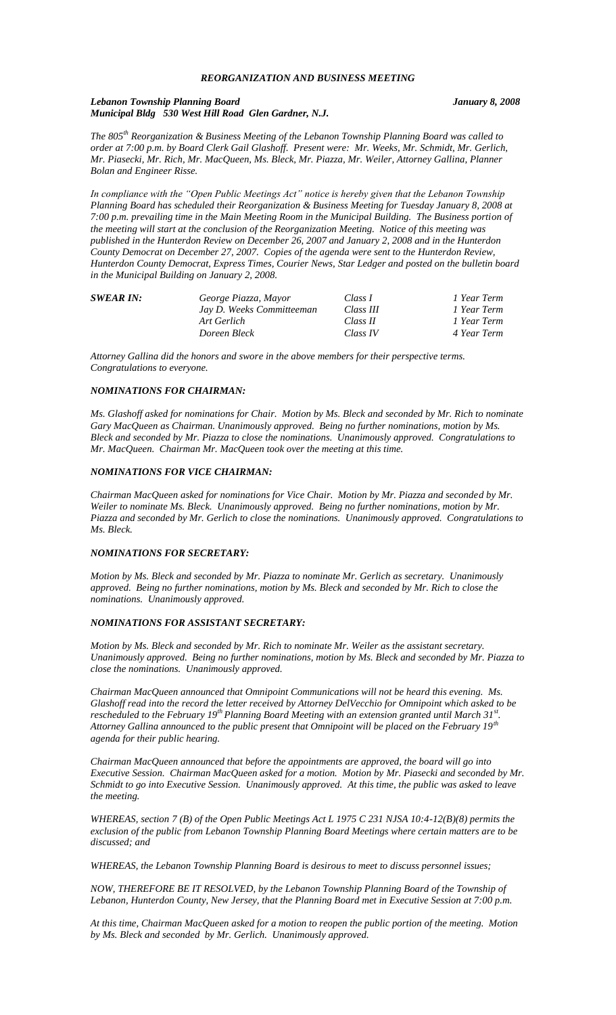## *REORGANIZATION AND BUSINESS MEETING*

#### *Lebanon Township Planning Board January 8, 2008 Municipal Bldg 530 West Hill Road Glen Gardner, N.J.*

*The 805th Reorganization & Business Meeting of the Lebanon Township Planning Board was called to order at 7:00 p.m. by Board Clerk Gail Glashoff. Present were: Mr. Weeks, Mr. Schmidt, Mr. Gerlich, Mr. Piasecki, Mr. Rich, Mr. MacQueen, Ms. Bleck, Mr. Piazza, Mr. Weiler, Attorney Gallina, Planner Bolan and Engineer Risse.*

*In compliance with the "Open Public Meetings Act" notice is hereby given that the Lebanon Township Planning Board has scheduled their Reorganization & Business Meeting for Tuesday January 8, 2008 at 7:00 p.m. prevailing time in the Main Meeting Room in the Municipal Building. The Business portion of the meeting will start at the conclusion of the Reorganization Meeting. Notice of this meeting was published in the Hunterdon Review on December 26, 2007 and January 2, 2008 and in the Hunterdon County Democrat on December 27, 2007. Copies of the agenda were sent to the Hunterdon Review, Hunterdon County Democrat, Express Times, Courier News, Star Ledger and posted on the bulletin board in the Municipal Building on January 2, 2008.*

| <b>SWEAR IN:</b> | George Piazza, Mayor      | Class I   | 1 Year Term |
|------------------|---------------------------|-----------|-------------|
|                  | Jay D. Weeks Committeeman | Class III | 1 Year Term |
|                  | Art Gerlich               | Class II  | 1 Year Term |
|                  | Doreen Bleck              | Class IV  | 4 Year Term |

*Attorney Gallina did the honors and swore in the above members for their perspective terms. Congratulations to everyone.*

#### *NOMINATIONS FOR CHAIRMAN:*

*Ms. Glashoff asked for nominations for Chair. Motion by Ms. Bleck and seconded by Mr. Rich to nominate Gary MacQueen as Chairman. Unanimously approved. Being no further nominations, motion by Ms. Bleck and seconded by Mr. Piazza to close the nominations. Unanimously approved. Congratulations to Mr. MacQueen. Chairman Mr. MacQueen took over the meeting at this time.*

#### *NOMINATIONS FOR VICE CHAIRMAN:*

*Chairman MacQueen asked for nominations for Vice Chair. Motion by Mr. Piazza and seconded by Mr. Weiler to nominate Ms. Bleck. Unanimously approved. Being no further nominations, motion by Mr. Piazza and seconded by Mr. Gerlich to close the nominations. Unanimously approved. Congratulations to Ms. Bleck.*

## *NOMINATIONS FOR SECRETARY:*

*Motion by Ms. Bleck and seconded by Mr. Piazza to nominate Mr. Gerlich as secretary. Unanimously approved. Being no further nominations, motion by Ms. Bleck and seconded by Mr. Rich to close the nominations. Unanimously approved.*

## *NOMINATIONS FOR ASSISTANT SECRETARY:*

*Motion by Ms. Bleck and seconded by Mr. Rich to nominate Mr. Weiler as the assistant secretary. Unanimously approved. Being no further nominations, motion by Ms. Bleck and seconded by Mr. Piazza to close the nominations. Unanimously approved.*

*Chairman MacQueen announced that Omnipoint Communications will not be heard this evening. Ms. Glashoff read into the record the letter received by Attorney DelVecchio for Omnipoint which asked to be rescheduled to the February 19th Planning Board Meeting with an extension granted until March 31st . Attorney Gallina announced to the public present that Omnipoint will be placed on the February 19th agenda for their public hearing.*

*Chairman MacQueen announced that before the appointments are approved, the board will go into Executive Session. Chairman MacQueen asked for a motion. Motion by Mr. Piasecki and seconded by Mr. Schmidt to go into Executive Session. Unanimously approved. At this time, the public was asked to leave the meeting.*

*WHEREAS, section 7 (B) of the Open Public Meetings Act L 1975 C 231 NJSA 10:4-12(B)(8) permits the exclusion of the public from Lebanon Township Planning Board Meetings where certain matters are to be discussed; and*

*WHEREAS, the Lebanon Township Planning Board is desirous to meet to discuss personnel issues;*

*NOW, THEREFORE BE IT RESOLVED, by the Lebanon Township Planning Board of the Township of Lebanon, Hunterdon County, New Jersey, that the Planning Board met in Executive Session at 7:00 p.m.*

*At this time, Chairman MacQueen asked for a motion to reopen the public portion of the meeting. Motion by Ms. Bleck and seconded by Mr. Gerlich. Unanimously approved.*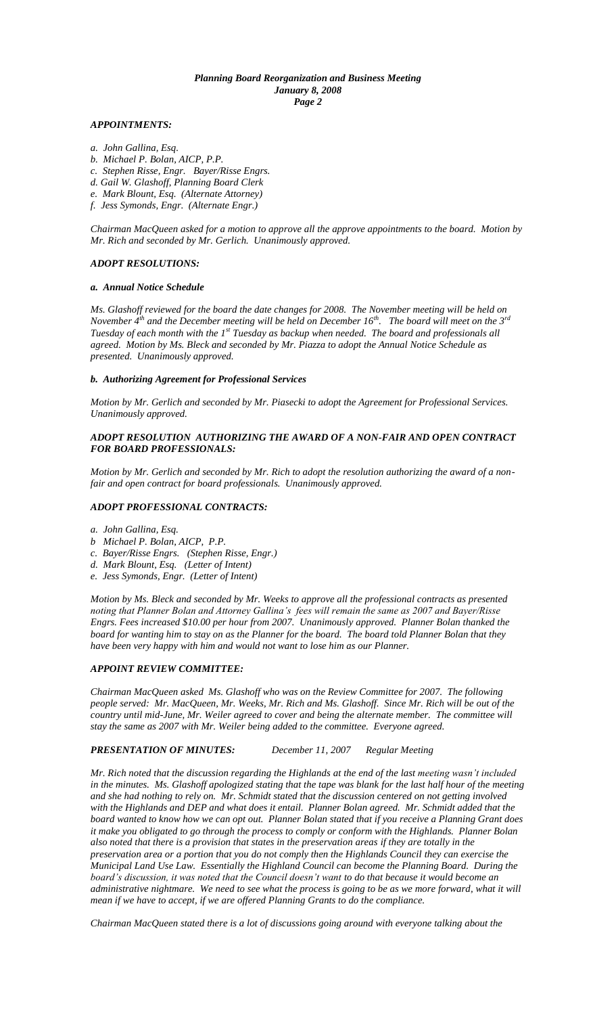### *Planning Board Reorganization and Business Meeting January 8, 2008 Page 2*

#### *APPOINTMENTS:*

- *a. John Gallina, Esq.*
- *b. Michael P. Bolan, AICP, P.P.*
- *c. Stephen Risse, Engr. Bayer/Risse Engrs.*
- *d. Gail W. Glashoff, Planning Board Clerk*
- *e. Mark Blount, Esq. (Alternate Attorney)*
- *f. Jess Symonds, Engr. (Alternate Engr.)*

*Chairman MacQueen asked for a motion to approve all the approve appointments to the board. Motion by Mr. Rich and seconded by Mr. Gerlich. Unanimously approved.*

#### *ADOPT RESOLUTIONS:*

#### *a. Annual Notice Schedule*

*Ms. Glashoff reviewed for the board the date changes for 2008. The November meeting will be held on November 4th and the December meeting will be held on December 16th. The board will meet on the 3rd Tuesday of each month with the 1st Tuesday as backup when needed. The board and professionals all agreed. Motion by Ms. Bleck and seconded by Mr. Piazza to adopt the Annual Notice Schedule as presented. Unanimously approved.*

#### *b. Authorizing Agreement for Professional Services*

*Motion by Mr. Gerlich and seconded by Mr. Piasecki to adopt the Agreement for Professional Services. Unanimously approved.*

## *ADOPT RESOLUTION AUTHORIZING THE AWARD OF A NON-FAIR AND OPEN CONTRACT FOR BOARD PROFESSIONALS:*

*Motion by Mr. Gerlich and seconded by Mr. Rich to adopt the resolution authorizing the award of a nonfair and open contract for board professionals. Unanimously approved.*

#### *ADOPT PROFESSIONAL CONTRACTS:*

- *a. John Gallina, Esq.*
- *b Michael P. Bolan, AICP, P.P.*
- *c. Bayer/Risse Engrs. (Stephen Risse, Engr.)*
- *d. Mark Blount, Esq. (Letter of Intent)*
- *e. Jess Symonds, Engr. (Letter of Intent)*

*Motion by Ms. Bleck and seconded by Mr. Weeks to approve all the professional contracts as presented noting that Planner Bolan and Attorney Gallina's fees will remain the same as 2007 and Bayer/Risse Engrs. Fees increased \$10.00 per hour from 2007. Unanimously approved. Planner Bolan thanked the board for wanting him to stay on as the Planner for the board. The board told Planner Bolan that they have been very happy with him and would not want to lose him as our Planner.*

#### *APPOINT REVIEW COMMITTEE:*

*Chairman MacQueen asked Ms. Glashoff who was on the Review Committee for 2007. The following people served: Mr. MacQueen, Mr. Weeks, Mr. Rich and Ms. Glashoff. Since Mr. Rich will be out of the country until mid-June, Mr. Weiler agreed to cover and being the alternate member. The committee will stay the same as 2007 with Mr. Weiler being added to the committee. Everyone agreed.* 

## *PRESENTATION OF MINUTES: December 11, 2007 Regular Meeting*

*Mr. Rich noted that the discussion regarding the Highlands at the end of the last meeting wasn't included in the minutes. Ms. Glashoff apologized stating that the tape was blank for the last half hour of the meeting and she had nothing to rely on. Mr. Schmidt stated that the discussion centered on not getting involved with the Highlands and DEP and what does it entail. Planner Bolan agreed. Mr. Schmidt added that the board wanted to know how we can opt out. Planner Bolan stated that if you receive a Planning Grant does it make you obligated to go through the process to comply or conform with the Highlands. Planner Bolan also noted that there is a provision that states in the preservation areas if they are totally in the preservation area or a portion that you do not comply then the Highlands Council they can exercise the Municipal Land Use Law. Essentially the Highland Council can become the Planning Board. During the board's discussion, it was noted that the Council doesn't want to do that because it would become an administrative nightmare. We need to see what the process is going to be as we more forward, what it will mean if we have to accept, if we are offered Planning Grants to do the compliance.*

*Chairman MacQueen stated there is a lot of discussions going around with everyone talking about the*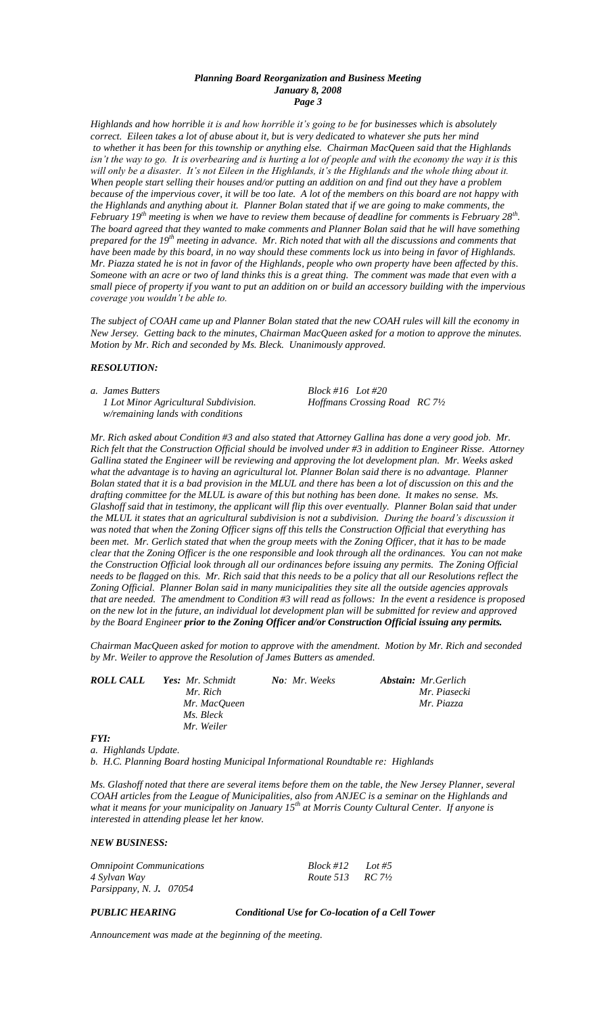### *Planning Board Reorganization and Business Meeting January 8, 2008 Page 3*

*Highlands and how horrible it is and how horrible it's going to be for businesses which is absolutely correct. Eileen takes a lot of abuse about it, but is very dedicated to whatever she puts her mind to whether it has been for this township or anything else. Chairman MacQueen said that the Highlands isn't the way to go. It is overbearing and is hurting a lot of people and with the economy the way it is this* will only be a disaster. It's not Eileen in the Highlands, it's the Highlands and the whole thing about it. *When people start selling their houses and/or putting an addition on and find out they have a problem because of the impervious cover, it will be too late. A lot of the members on this board are not happy with the Highlands and anything about it. Planner Bolan stated that if we are going to make comments, the February 19th meeting is when we have to review them because of deadline for comments is February 28th . The board agreed that they wanted to make comments and Planner Bolan said that he will have something prepared for the 19th meeting in advance. Mr. Rich noted that with all the discussions and comments that have been made by this board, in no way should these comments lock us into being in favor of Highlands. Mr. Piazza stated he is not in favor of the Highlands, people who own property have been affected by this. Someone with an acre or two of land thinks this is a great thing. The comment was made that even with a small piece of property if you want to put an addition on or build an accessory building with the impervious coverage you wouldn't be able to.*

*The subject of COAH came up and Planner Bolan stated that the new COAH rules will kill the economy in New Jersey. Getting back to the minutes, Chairman MacQueen asked for a motion to approve the minutes. Motion by Mr. Rich and seconded by Ms. Bleck. Unanimously approved.* 

### *RESOLUTION:*

*a. James Butters Block #16 Lot #20 1 Lot Minor Agricultural Subdivision. Hoffmans Crossing Road RC 7½ w/remaining lands with conditions*

*Mr. Rich asked about Condition #3 and also stated that Attorney Gallina has done a very good job. Mr. Rich felt that the Construction Official should be involved under #3 in addition to Engineer Risse. Attorney Gallina stated the Engineer will be reviewing and approving the lot development plan. Mr. Weeks asked what the advantage is to having an agricultural lot. Planner Bolan said there is no advantage. Planner Bolan stated that it is a bad provision in the MLUL and there has been a lot of discussion on this and the drafting committee for the MLUL is aware of this but nothing has been done. It makes no sense. Ms. Glashoff said that in testimony, the applicant will flip this over eventually. Planner Bolan said that under the MLUL it states that an agricultural subdivision is not a subdivision. During the board's discussion it was noted that when the Zoning Officer signs off this tells the Construction Official that everything has been met. Mr. Gerlich stated that when the group meets with the Zoning Officer, that it has to be made clear that the Zoning Officer is the one responsible and look through all the ordinances. You can not make the Construction Official look through all our ordinances before issuing any permits. The Zoning Official*  needs to be flagged on this. Mr. Rich said that this needs to be a policy that all our Resolutions reflect the *Zoning Official. Planner Bolan said in many municipalities they site all the outside agencies approvals that are needed. The amendment to Condition #3 will read as follows: In the event a residence is proposed on the new lot in the future, an individual lot development plan will be submitted for review and approved by the Board Engineer prior to the Zoning Officer and/or Construction Official issuing any permits.*

*Chairman MacQueen asked for motion to approve with the amendment. Motion by Mr. Rich and seconded by Mr. Weiler to approve the Resolution of James Butters as amended.*

| ROLL CALL | <b>Yes:</b> Mr. Schmidt | No: Mr. Weeks | <b>Abstain:</b> Mr.Gerlich |
|-----------|-------------------------|---------------|----------------------------|
|           | Mr. Rich                |               | Mr. Piasecki               |
|           | Mr. MacOueen            |               | Mr. Piazza                 |
|           | Ms. Bleck               |               |                            |
|           | Mr. Weiler              |               |                            |
| EVI.      |                         |               |                            |

*FYI:*

*a. Highlands Update.*

*b. H.C. Planning Board hosting Municipal Informational Roundtable re: Highlands*

*Ms. Glashoff noted that there are several items before them on the table, the New Jersey Planner, several COAH articles from the League of Municipalities, also from ANJEC is a seminar on the Highlands and what it means for your municipality on January 15th at Morris County Cultural Center. If anyone is interested in attending please let her know.*

*NEW BUSINESS:*

| <i><b>Omnipoint Communications</b></i> | Block #12                       | Lot #5 |  |
|----------------------------------------|---------------------------------|--------|--|
| 4 Sylvan Way                           | <i>Route</i> 513 <i>RC</i> 71/2 |        |  |
| Parsippany, N. J. 07054                |                                 |        |  |

*PUBLIC HEARING Conditional Use for Co-location of a Cell Tower*

*Announcement was made at the beginning of the meeting.*